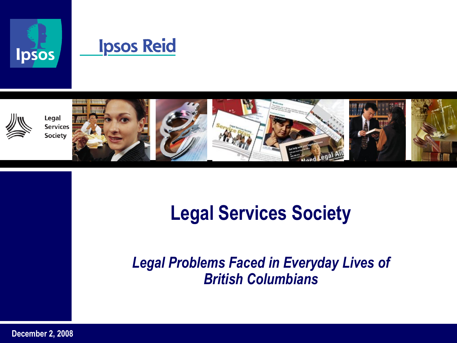





Legal **Services Society** 











# **Legal Services Society**

#### *Legal Problems Faced in Everyday Lives of British Columbians*

**December 2, 2008**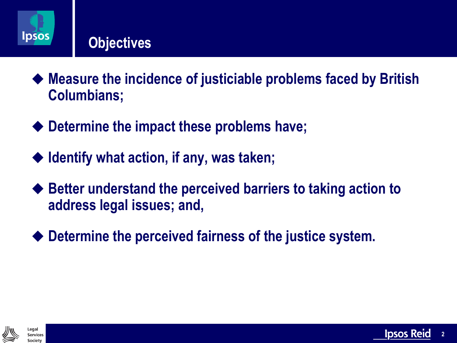

#### **Objectives**

- **Measure the incidence of justiciable problems faced by British Columbians;**
- **Determine the impact these problems have;**
- **Identify what action, if any, was taken;**
- **Better understand the perceived barriers to taking action to address legal issues; and,**
- **Determine the perceived fairness of the justice system.**



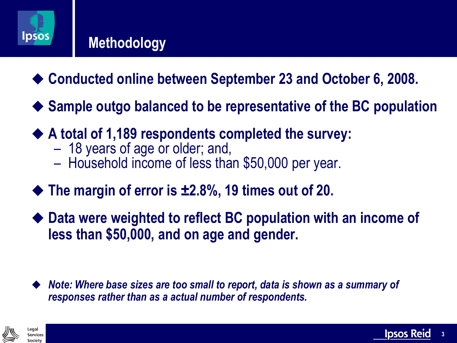

#### **Methodology**

- ◆ Conducted online between September 23 and October 6, 2008.
- ◆ Sample outgo balanced to be representative of the BC population
- ◆ A total of 1,189 respondents completed the survey:
	- 18 years of age or older; and,
	- Household income of less than \$50,000 per year.
- ◆ The margin of error is ±2.8%, 19 times out of 20.
- **Data were weighted to reflect BC population with an income of less than \$50,000, and on age and gender.**
- *Note: Where base sizes are too small to report, data is shown as a summary of responses rather than as a actual number of respondents.*



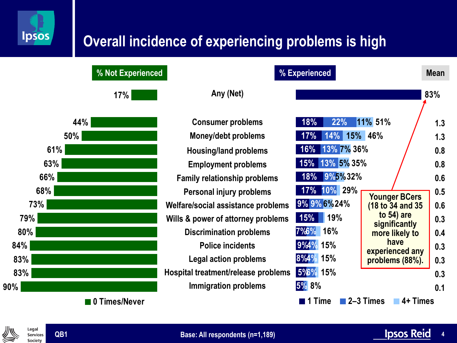

### **Overall incidence of experiencing problems is high**

**17% 44% 50% 61% 63% 66% 68% 73% 79% 80% 84% 83% 83% 90% 0 Times/Never**

**% Not Experienced % Experienced Mean**

|                                                                                                                                                                                                              | % Experienced                                                                                                                             |                                                                                                                    | <b>Mean</b>                                   |
|--------------------------------------------------------------------------------------------------------------------------------------------------------------------------------------------------------------|-------------------------------------------------------------------------------------------------------------------------------------------|--------------------------------------------------------------------------------------------------------------------|-----------------------------------------------|
| Any (Net)                                                                                                                                                                                                    |                                                                                                                                           |                                                                                                                    | 83%                                           |
| <b>Consumer problems</b><br><b>Money/debt problems</b><br><b>Housing/land problems</b><br><b>Employment problems</b><br><b>Family relationship problems</b><br>Personal injury problems                      | 18%<br>22%<br>11% 51%<br>14% 15% 46%<br>17%<br>13% 7% 36%<br>$16\%$<br>13% 5% 35%<br>15%<br>9%5%32%<br>18%<br>17% 10% 29%<br>9% 9% 6% 24% | <b>Younger BCers</b>                                                                                               | 1.3<br>1.3<br>0.8<br>0.8<br>0.6<br>0.5<br>0.6 |
| Welfare/social assistance problems<br>Wills & power of attorney problems<br><b>Discrimination problems</b><br><b>Police incidents</b><br><b>Legal action problems</b><br>Hospital treatment/release problems | 15%<br>19%<br>7%6%<br>16%<br>9%4% 15%<br>8%4% 15%<br>5%% 15%                                                                              | (18 to 34 and 35<br>to $54$ ) are<br>significantly<br>more likely to<br>have<br>experienced any<br>problems (88%). |                                               |
| Immigration problems                                                                                                                                                                                         | <b>5% 8%</b><br>1 Time                                                                                                                    | 2-3 Times<br>4+ Times                                                                                              | 0.3<br>0.1                                    |



Legal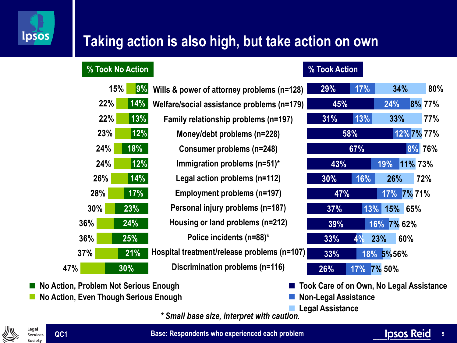

## **Taking action is also high, but take action on own**

#### **% Took No Action % Took Action**

**22%**

**22%**

**23%**

**24%**

**24%**

**26%**

**28%**

**30%**

**36%**

**36%**

**37%**

**47%**

#### **Wills & power of attorney problems (n=128) Welfare/social assistance problems (n=179) Family relationship problems (n=197) Money/debt problems (n=228) Consumer problems (n=248) Immigration problems (n=51)\* Legal action problems (n=112) Employment problems (n=197) Personal injury problems (n=187) Housing or land problems (n=212) Police incidents (n=88)\* Hospital treatment/release problems (n=107) Discrimination problems (n=116) 9% 14% 13% 12% 18% 12% 14% 17% 23% 24% 25% 21% 30% 15%**

| 29% | 17%       |             | 34%        | 80%         |
|-----|-----------|-------------|------------|-------------|
| 45% |           | 24%         |            | 8% 77%      |
| 31% | 13%       |             | $33\%$     | 77%         |
| 58% |           |             |            | 12% 7% 77%  |
|     | 67%       |             |            | 8% 76%      |
| 43% |           |             |            | 19% 11% 73% |
| 30% | 16%       |             | $26\%$     | 72%         |
| 47% |           |             | 17% 7% 71% |             |
| 37% |           | 13% 15% 65% |            |             |
| 39% |           | 16% 7% 62%  |            |             |
| 33% | $4\%$ 23% |             | 60%        |             |
| 33% |           | 18% 5%56%   |            |             |
| 26% |           | 17% 7% 50%  |            |             |

**No Action, Problem Not Serious Enough No Action, Even Though Serious Enough** **Took Care of on Own, No Legal Assistance**

**Non-Legal Assistance**

**Legal Assistance**

*\* Small base size, interpret with caution.*



**QC1**

**Base: Respondents who experienced each problem**

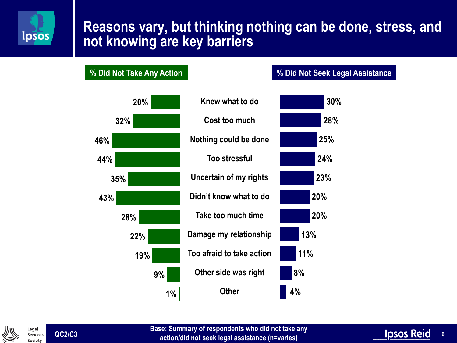

#### **Reasons vary, but thinking nothing can be done, stress, and not knowing are key barriers**

#### **% Did Not Take Any Action % Did Not Seek Legal Assistance**





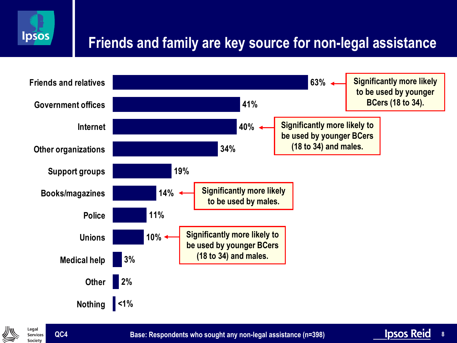

# **Friends and family are key source for non-legal assistance**





**Base: Respondents who sought any non-legal assistance (n=398)**

**8**

**Ipsos Reid**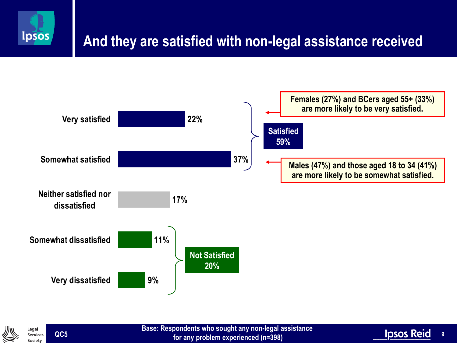

# **And they are satisfied with non-legal assistance received**





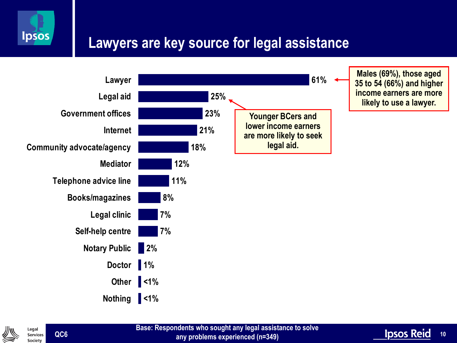

### **Lawyers are key source for legal assistance**





**QC6**

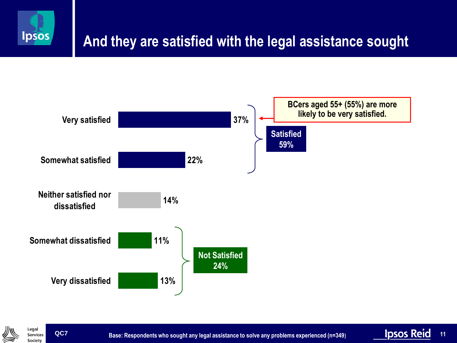





**Base: Respondents who sought any legal assistance to solve any problems experienced (n=349)**

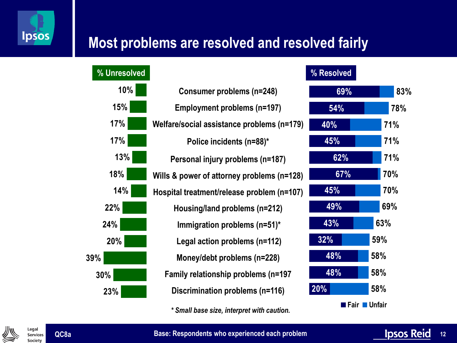

### **Most problems are resolved and resolved fairly**



**Base: Respondents who experienced each problem**





**QC8a**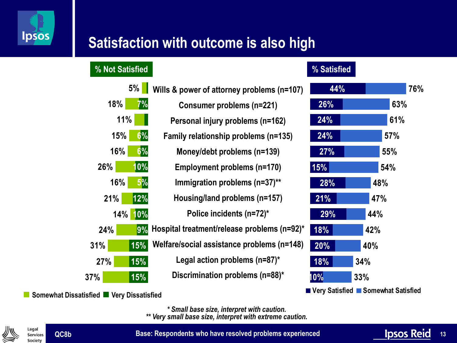

# **Satisfaction with outcome is also high**

#### **% Not Satisfied % Satisfied**

|     | 5%         | Wills & power of attorney problems (n=107)  |
|-----|------------|---------------------------------------------|
| 18% | 7%         | <b>Consumer problems (n=221)</b>            |
| 11% |            | Personal injury problems (n=162)            |
| 15% | 6%         | Family relationship problems (n=135)        |
| 16% | 6%         | Money/debt problems (n=139)                 |
| 26% | 10%        | Employment problems (n=170)                 |
| 16% | 5%         | Immigration problems (n=37)**               |
| 21% | 12%        | Housing/land problems (n=157)               |
| 14% | 10%        | Police incidents (n=72)*                    |
| 24% | 9%         | Hospital treatment/release problems (n=92)* |
| 31% | <b>15%</b> | Welfare/social assistance problems (n=148)  |
| 27% | 15%        | Legal action problems $(n=87)^*$            |
| 7%  | 15%        | Discrimination problems (n=88)*             |
|     |            |                                             |



**Somewhat Dissatisfied Very Dissatisfied**

**37%**

*\* Small base size, interpret with caution. \*\* Very small base size, interpret with extreme caution.*

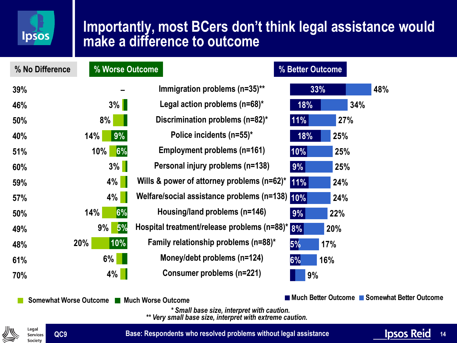

#### **Importantly, most BCers don't think legal assistance would make a difference to outcome**

**Immigration problems (n=35)\*\* – 33% Legal action problems (n=68)\* Discrimination problems (n=82)\* Police incidents (n=55)\* Employment problems (n=161) Personal injury problems (n=138) Wills & power of attorney problems (n=62)\* Welfare/social assistance problems (n=138) Housing/land problems (n=146) Hospital treatment/release problems (n=88)\* Family relationship problems (n=88)\* Money/debt problems (n=124) Consumer problems (n=221) 0% 9% 6% 6% 5% 10% 3% 8% 14% 10% 3% 4% 4% 14% 9% 20% 6% 4% 18% 11% 18% 10% 9% 11% 10% 9% 8% 6% 48% 34% 27% 25% 25% 25% 24% 24% 22% 20% 17% 16% 9% 5% % No Difference % Worse Outcome % Better Outcome 39% 46% 50% 40% 51% 60% 59% 57% 50% 49% 48% 61% 70%**

**Somewhat Worse Outcome ■ Much Worse Outcome Contract Contract Contract Contract Contract Contract Much Better Outcome** ■ Somewhat Better Outcome

*\* Small base size, interpret with caution.*

*\*\* Very small base size, interpret with extreme caution.*



**Base: Respondents who resolved problems without legal assistance**

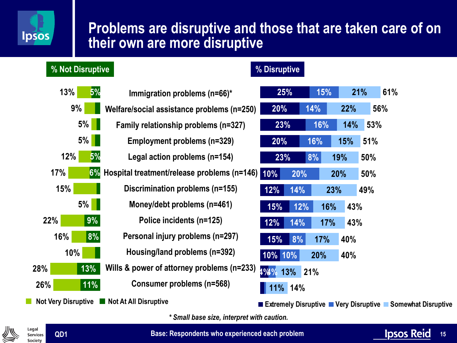

#### **Problems are disruptive and those that are taken care of on their own are more disruptive**

#### **5% 5% 6% 9% 8% 13% 11% 13% 9% 5% 5% 12% 17% 15% 5% 22% 16% 10% 28% 26% Immigration problems (n=66)\* Welfare/social assistance problems (n=250) Family relationship problems (n=327) Employment problems (n=329) Legal action problems (n=154) Hospital treatment/release problems (n=146) Discrimination problems (n=155) Money/debt problems (n=461) Police incidents (n=125) Personal injury problems (n=297) Housing/land problems (n=392) Wills & power of attorney problems (n=233) Consumer problems (n=568) % Not Disruptive % Disruptive Not Very Disruptive**  Not At All Disruptive **25% 23% 10% 12% 15% 4% 15% 14% 16% 16% 8% 20% 14% 12% 14% 8% 10% 10% 4% 21% 22% 14% 15% 19% 20% 23% 16% 17% 17% 20% 13% 11% 14% 61% 56% 53% 51% 50% 50% 49% 43% 43% 40% 40% 21% 20% 20% 23% 12% 15% Extremely Disruptive Very Disruptive Somewhat Disruptive**

*\* Small base size, interpret with caution.*



**Base: Respondents who experienced each problem**

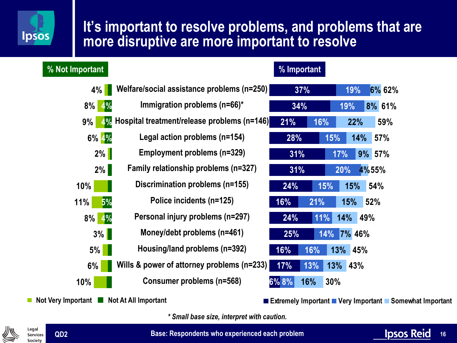# **Ipsos**

#### **It's important to resolve problems, and problems that are more disruptive are more important to resolve**

| % Not Important |                                             | % Important  |                          |
|-----------------|---------------------------------------------|--------------|--------------------------|
| 4%              | Welfare/social assistance problems (n=250)  | 37%          | 6% 62%<br>19%            |
| $8\%$<br>4%     | Immigration problems $(n=66)^*$             | 34%          | 19%<br>8% 61%            |
| 9%<br>4%        | Hospital treatment/release problems (n=146) | 21%<br>16%   | 59%<br>22%               |
| 6% 4%           | Legal action problems (n=154)               | 28%          | 15%<br>14%<br><b>57%</b> |
| 2%              | Employment problems (n=329)                 | 31%          | 9% 57%<br>17%            |
| 2%              | Family relationship problems (n=327)        | 31%          | 4%55%<br>20%             |
| 10%             | Discrimination problems (n=155)             | 15%<br>24%   | <b>15%</b><br>54%        |
| 5%<br>11%       | Police incidents (n=125)                    | 16%<br>21%   | 52%<br>15%               |
| 4%<br>$8\%$     | Personal injury problems (n=297)            | 24%<br>11%   | 14%<br>49%               |
| $3\%$           | Money/debt problems (n=461)                 | 25%          | 14%<br><b>7% 46%</b>     |
| $5\%$           | Housing/land problems (n=392)               | 16%<br>16%   | 13% 45%                  |
| 6%              | Wills & power of attorney problems (n=233)  | 17%<br>13%   | 13%<br>43%               |
| 10%             | <b>Consumer problems (n=568)</b>            | 6% 8%<br>16% | 30%                      |
|                 |                                             |              |                          |

**Extremely Important Very Important Somewhat Important**

*\* Small base size, interpret with caution.*



**Not Very Important Not At All Important** 

**Base: Respondents who experienced each problem**

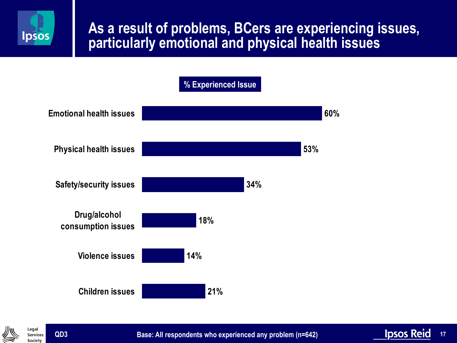

#### **As a result of problems, BCers are experiencing issues, particularly emotional and physical health issues**